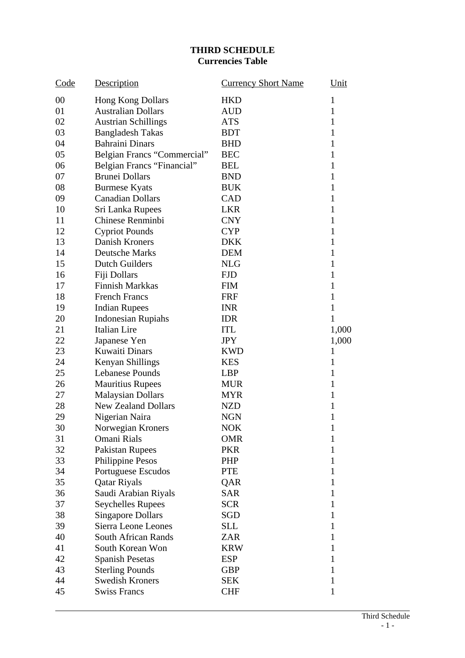## **THIRD SCHEDULE Currencies Table**

| Code | Description                 | <b>Currency Short Name</b> | Unit         |
|------|-----------------------------|----------------------------|--------------|
| 00   | <b>Hong Kong Dollars</b>    | <b>HKD</b>                 | $\mathbf{1}$ |
| 01   | <b>Australian Dollars</b>   | <b>AUD</b>                 | 1            |
| 02   | <b>Austrian Schillings</b>  | <b>ATS</b>                 | $\mathbf{1}$ |
| 03   | <b>Bangladesh Takas</b>     | <b>BDT</b>                 | 1            |
| 04   | <b>Bahraini Dinars</b>      | <b>BHD</b>                 | 1            |
| 05   | Belgian Francs "Commercial" | <b>BEC</b>                 | 1            |
| 06   | Belgian Francs "Financial"  | <b>BEL</b>                 | 1            |
| 07   | <b>Brunei Dollars</b>       | <b>BND</b>                 | 1            |
| 08   | <b>Burmese Kyats</b>        | <b>BUK</b>                 | 1            |
| 09   | <b>Canadian Dollars</b>     | <b>CAD</b>                 | 1            |
| 10   | Sri Lanka Rupees            | <b>LKR</b>                 | $\mathbf{1}$ |
| 11   | Chinese Renminbi            | <b>CNY</b>                 | $\mathbf{1}$ |
| 12   | <b>Cypriot Pounds</b>       | <b>CYP</b>                 | 1            |
| 13   | Danish Kroners              | <b>DKK</b>                 | 1            |
| 14   | <b>Deutsche Marks</b>       | <b>DEM</b>                 | 1            |
| 15   | Dutch Guilders              | <b>NLG</b>                 | $\mathbf{1}$ |
| 16   | Fiji Dollars                | <b>FJD</b>                 | $\mathbf{1}$ |
| 17   | <b>Finnish Markkas</b>      | <b>FIM</b>                 | 1            |
| 18   | <b>French Francs</b>        | <b>FRF</b>                 | 1            |
| 19   | <b>Indian Rupees</b>        | <b>INR</b>                 | $\mathbf{1}$ |
| 20   | <b>Indonesian Rupiahs</b>   | <b>IDR</b>                 | 1            |
| 21   | Italian Lire                | <b>ITL</b>                 | 1,000        |
| 22   | Japanese Yen                | <b>JPY</b>                 | 1,000        |
| 23   | Kuwaiti Dinars              | <b>KWD</b>                 | 1            |
| 24   | Kenyan Shillings            | <b>KES</b>                 | 1            |
| 25   | Lebanese Pounds             | <b>LBP</b>                 | 1            |
| 26   | <b>Mauritius Rupees</b>     | <b>MUR</b>                 | $\mathbf{1}$ |
| 27   | <b>Malaysian Dollars</b>    | <b>MYR</b>                 | $\mathbf{1}$ |
| 28   | <b>New Zealand Dollars</b>  | <b>NZD</b>                 | 1            |
| 29   | Nigerian Naira              | <b>NGN</b>                 | 1            |
| 30   | Norwegian Kroners           | <b>NOK</b>                 | $\mathbf{1}$ |
| 31   | Omani Rials                 | <b>OMR</b>                 | 1            |
| 32   | Pakistan Rupees             | <b>PKR</b>                 | $\mathbf{1}$ |
| 33   | Philippine Pesos            | PHP                        | $\mathbf{1}$ |
| 34   | Portuguese Escudos          | <b>PTE</b>                 | 1            |
| 35   | <b>Qatar Riyals</b>         | QAR                        | $\mathbf{1}$ |
| 36   | Saudi Arabian Riyals        | <b>SAR</b>                 | $\mathbf{1}$ |
| 37   | <b>Seychelles Rupees</b>    | <b>SCR</b>                 | 1            |
| 38   | <b>Singapore Dollars</b>    | SGD                        | $\mathbf{1}$ |
| 39   | Sierra Leone Leones         | <b>SLL</b>                 | $\mathbf{1}$ |
| 40   | <b>South African Rands</b>  | ZAR                        | 1            |
| 41   | South Korean Won            | <b>KRW</b>                 | $\mathbf{1}$ |
| 42   | <b>Spanish Pesetas</b>      | <b>ESP</b>                 | 1            |
| 43   | <b>Sterling Pounds</b>      | <b>GBP</b>                 | 1            |
| 44   | <b>Swedish Kroners</b>      | <b>SEK</b>                 | $\mathbf{1}$ |
| 45   | <b>Swiss Francs</b>         | <b>CHF</b>                 | 1            |